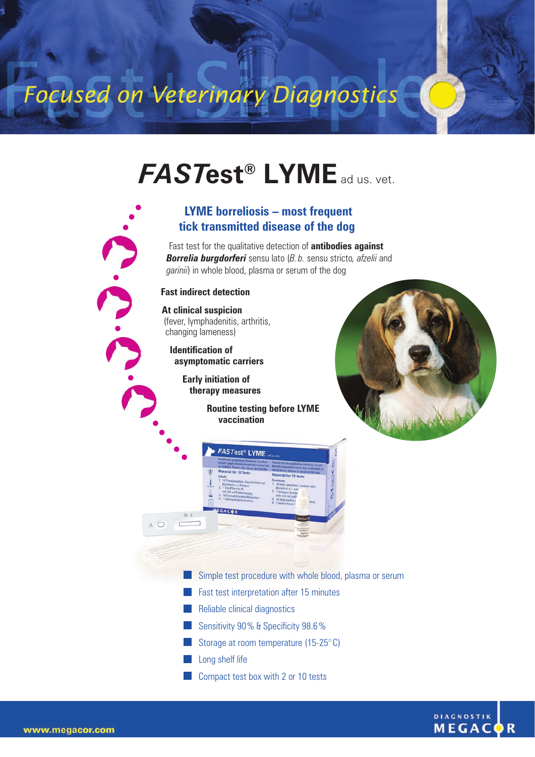# Focused on Veterinary Diagnostics

### *FAST***est® LYME**ad us. vet.

#### **LYME borreliosis – most frequent tick transmitted disease of the dog**

Fast test for the qualitative detection of **antibodies against** *Borrelia burgdorferi* sensu lato (*B.b.* sensu stricto*, afzelii* and *garinii*) in whole blood, plasma or serum of the dog

#### **Fast indirect detection**

A O

**At clinical suspicion**  (fever, lymphadenitis, arthritis, changing lameness)

**Identification of asymptomatic carriers**

> **Early initiation of therapy measures**

> > **Routine testing before LYME vaccination**





- Simple test procedure with whole blood, plasma or serum
- **Fast test interpretation after 15 minutes**
- **Reliable clinical diagnostics**
- Sensitivity 90% & Specificity 98.6%
- Storage at room temperature  $(15-25)$ °C)
- **Long shelf life**
- **Compact test box with 2 or 10 tests**